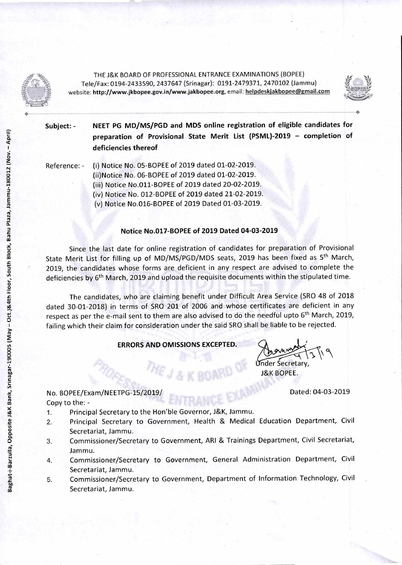

THE J&K BOARD OF PROFESSIONAL ENTRANCE EXAMINATIONS (BOPEE) Tele/Fax: 0194-2433590, 2437647 (Srinagar): 0191-2479371, 2470102 (Jammu) website: http://www.jkbopee.gov.in/www.jakbopee.org, email: helpdeskjakbopee@gmail.com



**Subject: - NEET PG MD/MS/PGD and MDS online registration of eligible candidates for preparation of Provisional State Merit List (PSML)-2019 — completion of deficiencies thereof** 

Reference: - (i) Notice No. 05-BOPEE of 2019 dated 01-02-2019.

(ii)Notice No. 06-BOPEE of 2019 dated 01-02-2019.

(iii) Notice No.011-BOPEE of 2019 dated 20-02-2019.

(iv) Notice No. 012-BOPEE of 2019 dated 21-02-2019.

(v) Notice No.016-BOPEE of 2019 Dated 01-03-2019.

## **Notice No.017-BOPEE of 2019 Dated 04-03-2019**

Since the last date for online registration of candidates for preparation of Provisional State Merit List for filling up of MD/MS/PGD/MDS seats, 2019 has been fixed as 5<sup>th</sup> March, 2019, the candidates whose forms are deficient in any respect are advised to complete the deficiencies by 6<sup>th</sup> March, 2019 and upload the requisite documents within the stipulated time.

The candidates, who are claiming benefit under Difficult Area Service (SRO 48 of 2018 dated 30-01-2018) in terms of SRO 201 of 2006 and whose certificates are deficient in any respect as per the e-mail sent to them are also advised to do the needful upto 6<sup>th</sup> March, 2019, failing which their claim for consideration under the said SRO shall be liable to be rejected.

## **ERRORS AND OMISSIONS EXCEPTED.**

Under Secretary,

J&K BOPEE.

No. BOPEE/Exam/NEETPG-15/2019/ Dated: 04-03-2019 Copy to the: -

- 1. Principal Secretary to the Hon'ble Governor, J&K, Jammu.
- 2. Principal Secretary to Government, Health & Medical Education Department, Civil Secretariat, Jammu.
- 3. Commissioner/Secretary to Government, ARI & Trainings Department, Civil Secretariat, Jammu.
- 4. Commissioner/Secretary to Government, General Administration Department, Civil Secretariat, Jammu.
- 5. Commissioner/Secretary to Government, Department of Information Technology, Civil Secretariat, Jammu.

Pla za, Jammu-180012 (Nov. —April) Baghat-i-Barzulla, Opposite J&K Bank, Srinagar-190005 (May - Oct.)&4th Floor, South Block, Bahu Plaza, Jammu-180012 (Nov. - April) Floor,South Block, Bahu Baghat-i-Ba rzulla, Opposite J&K Bank, Srinagar-190005 (May — Oct.)&4th